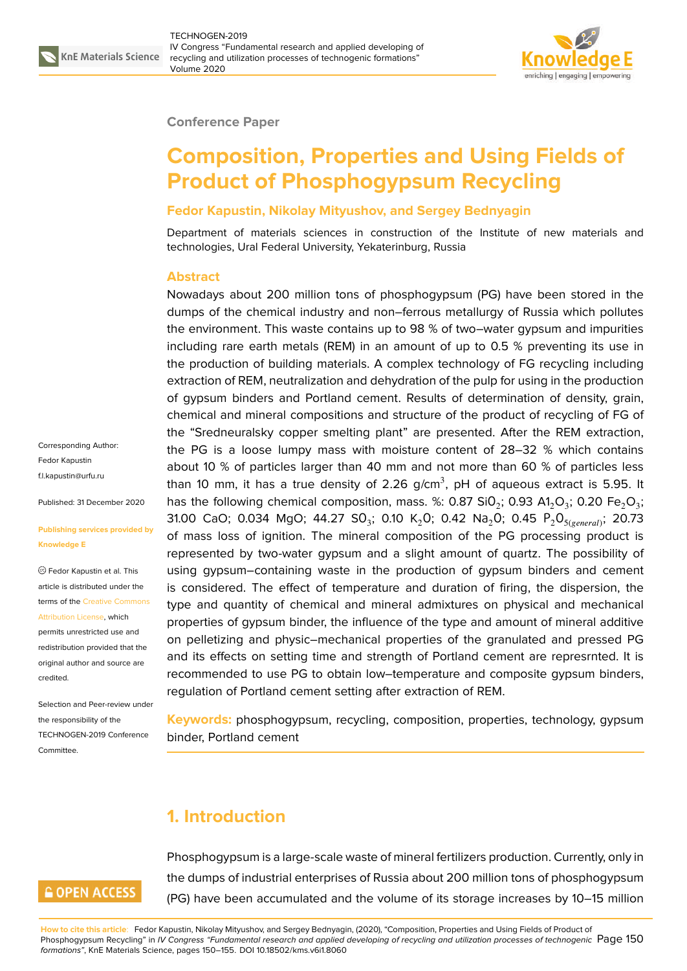

**KnE Materials Science** TECHNOGEN-2019 IV Congress "Fundamental research and applied developing of recycling and utilization processes of technogenic formations" Volume 2020



**Conference Paper**

# **Composition, Properties and Using Fields of Product of Phosphogypsum Recycling**

#### **Fedor Kapustin, Nikolay Mityushov, and Sergey Bednyagin**

Department of materials sciences in construction of the Institute of new materials and technologies, Ural Federal University, Yekaterinburg, Russia

#### **Abstract**

Nowadays about 200 million tons of phosphogypsum (PG) have been stored in the dumps of the chemical industry and non–ferrous metallurgy of Russia which pollutes the environment. This waste contains up to 98 % of two–water gypsum and impurities including rare earth metals (REM) in an amount of up to 0.5 % preventing its use in the production of building materials. A complex technology of FG recycling including extraction of REM, neutralization and dehydration of the pulp for using in the production of gypsum binders and Portland cement. Results of determination of density, grain, chemical and mineral compositions and structure of the product of recycling of FG of the "Sredneuralsky copper smelting plant" are presented. After the REM extraction, the PG is a loose lumpy mass with moisture content of 28–32 % which contains about 10 % of particles larger than 40 mm and not more than 60 % of particles less than 10 mm, it has a true density of 2.26 g/cm $^3$ , pH of aqueous extract is 5.95. It has the following chemical composition, mass. %: 0.87 Si0 $_2$ ; 0.93 A1 $_2$ O $_3$ ; 0.20 Fe $_2$ O $_3$ ; 31.00 CaO; 0.034 MgO; 44.27 SO $_3$ ; 0.10 K $_2$ O; 0.42 Na $_2$ O; 0.45 P $_2$ O $_{5(\textit{general})}$ ; 20.73 of mass loss of ignition. The mineral composition of the PG processing product is represented by two-water gypsum and a slight amount of quartz. The possibility of using gypsum–containing waste in the production of gypsum binders and cement is considered. The effect of temperature and duration of firing, the dispersion, the type and quantity of chemical and mineral admixtures on physical and mechanical properties of gypsum binder, the influence of the type and amount of mineral additive on pelletizing and physic–mechanical properties of the granulated and pressed PG and its effects on setting time and strength of Portland cement are represrnted. It is recommended to use PG to obtain low–temperature and composite gypsum binders, regulation of Portland cement setting after extraction of REM.

**Keywords:** phosphogypsum, recycling, composition, properties, technology, gypsum binder, Portland cement

# **1. Introduction**



Phosphogypsum is a large-scale waste of mineral fertilizers production. Currently, only in the dumps of industrial enterprises of Russia about 200 million tons of phosphogypsum (PG) have been accumulated and the volume of its storage increases by 10–15 million

**How to cite this article**: Fedor Kapustin, Nikolay Mityushov, and Sergey Bednyagin, (2020), "Composition, Properties and Using Fields of Product of Phosphogypsum Recycling" in *IV Congress "Fundamental research and applied developing of recycling and utilization processes of technogenic* Page 150 *formations"*, KnE Materials Science, pages 150–155. DOI 10.18502/kms.v6i1.8060

Corresponding Author: Fedor Kapustin [f.l.kapustin@urfu.ru](mailto:f.l.kapustin@urfu.ru)

Published: 31 December 2020

#### **Publishing services provided by Knowledge E**

Fedor Kapustin et al. This article is distributed under the terms of the [Creative Commons](https://creativecommons.org/licenses/by/4.0/) [Attribution License](https://creativecommons.org/licenses/by/4.0/), which permits unrestricted use and redistribution provided that the original author and source are credited.

Selection and Peer-review under the responsibility of the TECHNOGEN-2019 Conference **Committee**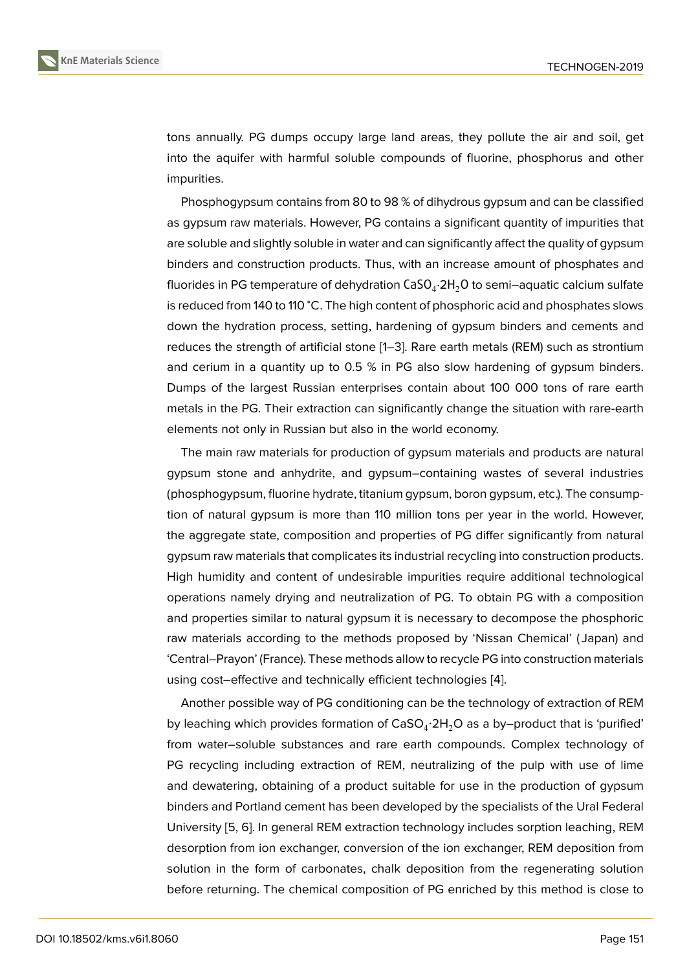

tons annually. PG dumps occupy large land areas, they pollute the air and soil, get into the aquifer with harmful soluble compounds of fluorine, phosphorus and other impurities.

Phosphogypsum contains from 80 to 98 % of dihydrous gypsum and can be classified as gypsum raw materials. However, PG contains a significant quantity of impurities that are soluble and slightly soluble in water and can significantly affect the quality of gypsum binders and construction products. Thus, with an increase amount of phosphates and fluorides in PG temperature of dehydration <code>CaSO $_4$ ·2H $_2$ O</code> to semi—aquatic calcium sulfate is reduced from 140 to 110 <sup>∘</sup>C. The high content of phosphoric acid and phosphates slows down the hydration process, setting, hardening of gypsum binders and cements and reduces the strength of artificial stone [[1–](#page-4-0)[3](#page-4-1)]. Rare earth metals (REM) such as strontium and cerium in a quantity up to 0.5 % in PG also slow hardening of gypsum binders. Dumps of the largest Russian enterprises contain about 100 000 tons of rare earth metals in the PG. Their extraction can significantly change the situation with rare-earth elements not only in Russian but also in the world economy.

The main raw materials for production of gypsum materials and products are natural gypsum stone and anhydrite, and gypsum–containing wastes of several industries (phosphogypsum, fluorine hydrate, titanium gypsum, boron gypsum, etc.). The consumption of natural gypsum is more than 110 million tons per year in the world. However, the aggregate state, composition and properties of PG differ significantly from natural gypsum raw materials that complicates its industrial recycling into construction products. High humidity and content of undesirable impurities require additional technological operations namely drying and neutralization of PG. To obtain PG with a composition and properties similar to natural gypsum it is necessary to decompose the phosphoric raw materials according to the methods proposed by 'Nissan Chemical' ( Japan) and 'Central–Prayon' (France). These methods allow to recycle PG into construction materials using cost–effective and technically efficient technologies [\[4](#page-4-2)].

Another possible way of PG conditioning can be the technology of extraction of REM by leaching which provides formation of  $\mathsf{CaSO_4}\text{:}2\mathsf{H}_2\mathsf{O}$  as a by–product that is 'purified' from water–soluble substances and rare earth compounds. Complex technology of PG recycling including extraction of REM, neutralizing of the pulp with use of lime and dewatering, obtaining of a product suitable for use in the production of gypsum binders and Portland cement has been developed by the specialists of the Ural Federal University [[5](#page-4-3), [6\]](#page-5-0). In general REM extraction technology includes sorption leaching, REM desorption from ion exchanger, conversion of the ion exchanger, REM deposition from solution in the form of carbonates, chalk deposition from the regenerating solution before returning. The chemical composition of PG enriched by this method is close to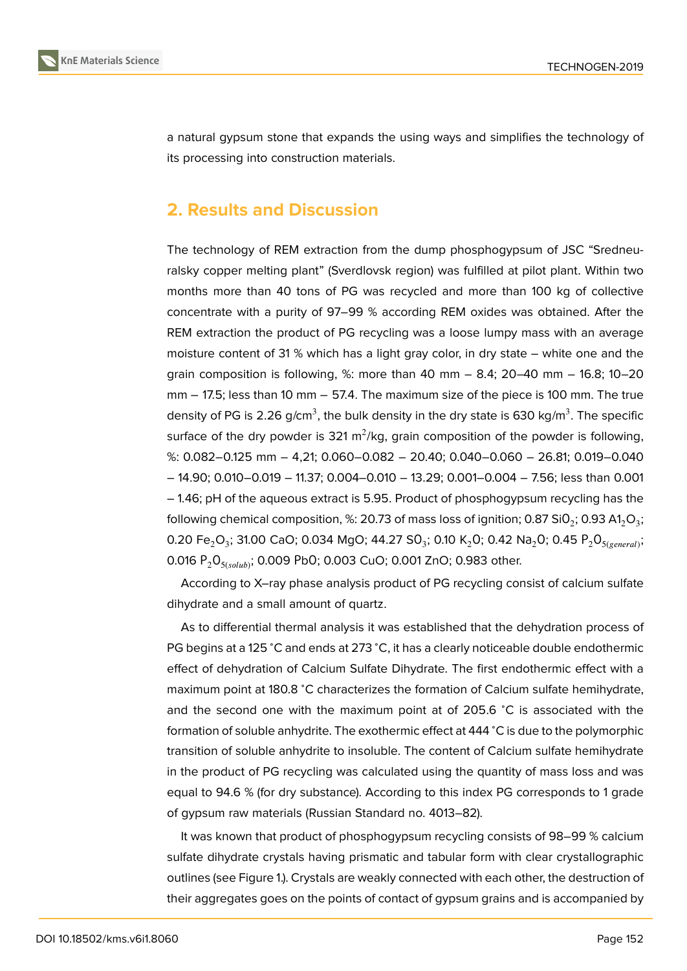

a natural gypsum stone that expands the using ways and simplifies the technology of its processing into construction materials.

### **2. Results and Discussion**

The technology of REM extraction from the dump phosphogypsum of JSC "Sredneuralsky copper melting plant" (Sverdlovsk region) was fulfilled at pilot plant. Within two months more than 40 tons of PG was recycled and more than 100 kg of collective concentrate with a purity of 97–99 % according REM oxides was obtained. After the REM extraction the product of PG recycling was a loose lumpy mass with an average moisture content of 31 % which has a light gray color, in dry state – white one and the grain composition is following,  $%$ : more than 40 mm – 8.4; 20–40 mm – 16.8; 10–20 mm − 17.5; less than 10 mm − 57.4. The maximum size of the piece is 100 mm. The true density of PG is 2.26 g/cm $^3$ , the bulk density in the dry state is 630 kg/m $^3$ . The specific surface of the dry powder is 321 m<sup>2</sup>/kg, grain composition of the powder is following, %: 0.082–0.125 mm – 4,21; 0.060–0.082 – 20.40; 0.040–0.060 – 26.81; 0.019–0.040 – 14.90; 0.010–0.019 – 11.37; 0.004–0.010 – 13.29; 0.001–0.004 – 7.56; less than 0.001 – 1.46; pH of the aqueous extract is 5.95. Product of phosphogypsum recycling has the following chemical composition, %: 20.73 of mass loss of ignition; 0.87 Si0 $_2$ ; 0.93 A1 $_2$ O $_3$ ; 0.20 Fe $_{2}$ O $_{3}$ ; 31.00 CaO; 0.034 MgO; 44.27 SO $_{3}$ ; 0.10 K $_{2}$ O; 0.42 Na $_{2}$ O; 0.45 P $_{2}$ O $_{5(\mathrm{general})};$ 0.016  $P_2O_{5(solub)}$ ; 0.009 PbO; 0.003 CuO; 0.001 ZnO; 0.983 other.

According to X–ray phase analysis product of PG recycling consist of calcium sulfate dihydrate and a small amount of quartz.

As to differential thermal analysis it was established that the dehydration process of PG begins at a 125 °C and ends at 273 °C, it has a clearly noticeable double endothermic effect of dehydration of Calcium Sulfate Dihydrate. The first endothermic effect with a maximum point at 180.8 <sup>∘</sup>C characterizes the formation of Calcium sulfate hemihydrate, and the second one with the maximum point at of 205.6 <sup>∘</sup>C is associated with the formation of soluble anhydrite. The exothermic effect at 444 <sup>∘</sup>C is due to the polymorphic transition of soluble anhydrite to insoluble. The content of Calcium sulfate hemihydrate in the product of PG recycling was calculated using the quantity of mass loss and was equal to 94.6 % (for dry substance). According to this index PG corresponds to 1 grade of gypsum raw materials (Russian Standard no. 4013–82).

It was known that product of phosphogypsum recycling consists of 98–99 % calcium sulfate dihydrate crystals having prismatic and tabular form with clear crystallographic outlines (see Figure [1](#page-3-0).). Crystals are weakly connected with each other, the destruction of their aggregates goes on the points of contact of gypsum grains and is accompanied by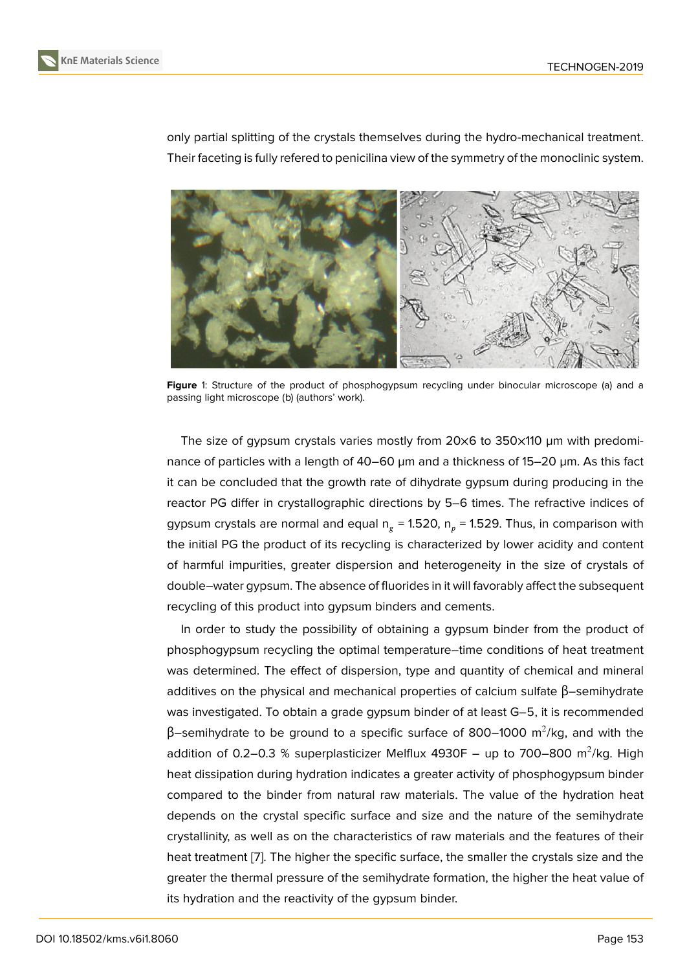



only partial splitting of the crystals themselves during the hydro-mechanical treatment. Their faceting is fully refered to penicilina view of the symmetry of the monoclinic system.



<span id="page-3-0"></span>**Figure** 1: Structure of the product of phosphogypsum recycling under binocular microscope (a) and a passing light microscope (b) (authors' work).

The size of gypsum crystals varies mostly from 20×6 to 350×110 µm with predominance of particles with a length of 40–60 µm and a thickness of 15–20 µm. As this fact it can be concluded that the growth rate of dihydrate gypsum during producing in the reactor PG differ in crystallographic directions by 5–6 times. The refractive indices of gypsum crystals are normal and equal n $_{\rm g}$  = 1.520, n $_{\rm p}$  = 1.529. Thus, in comparison with the initial PG the product of its recycling is characterized by lower acidity and content of harmful impurities, greater dispersion and heterogeneity in the size of crystals of double–water gypsum. The absence of fluorides in it will favorably affect the subsequent recycling of this product into gypsum binders and cements.

In order to study the possibility of obtaining a gypsum binder from the product of phosphogypsum recycling the optimal temperature–time conditions of heat treatment was determined. The effect of dispersion, type and quantity of chemical and mineral additives on the physical and mechanical properties of calcium sulfate β–semihydrate was investigated. To obtain a grade gypsum binder of at least G–5, it is recommended β–semihydrate to be ground to a specific surface of 800–1000 m<sup>2</sup>/kg, and with the addition of 0.2–0.3 % superplasticizer Melflux 4930F – up to 700–800  $\mathrm{m}^2\mathrm{/kg}.$  High heat dissipation during hydration indicates a greater activity of phosphogypsum binder compared to the binder from natural raw materials. The value of the hydration heat depends on the crystal specific surface and size and the nature of the semihydrate crystallinity, as well as on the characteristics of raw materials and the features of their heat treatment [\[7\]](#page-5-1). The higher the specific surface, the smaller the crystals size and the greater the thermal pressure of the semihydrate formation, the higher the heat value of its hydration and the reactivity of the gypsum binder.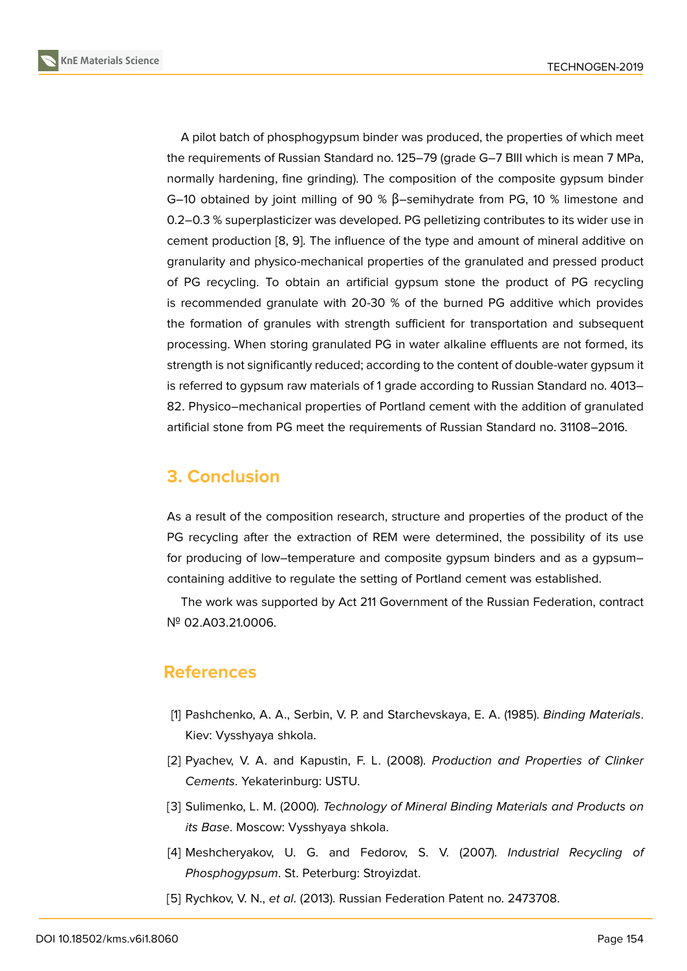**KnE Materials Science**



A pilot batch of phosphogypsum binder was produced, the properties of which meet the requirements of Russian Standard no. 125–79 (grade G–7 BIII which is mean 7 MPa, normally hardening, fine grinding). The composition of the composite gypsum binder G–10 obtained by joint milling of 90 % β–semihydrate from PG, 10 % limestone and 0.2–0.3 % superplasticizer was developed. PG pelletizing contributes to its wider use in cement production [\[8,](#page-5-2) [9](#page-5-3)]. The influence of the type and amount of mineral additive on granularity and physico-mechanical properties of the granulated and pressed product of PG recycling. To obtain an artificial gypsum stone the product of PG recycling is recommended granulate with 20-30 % of the burned PG additive which provides the formation of granules with strength sufficient for transportation and subsequent processing. When storing granulated PG in water alkaline effluents are not formed, its strength is not significantly reduced; according to the content of double-water gypsum it is referred to gypsum raw materials of 1 grade according to Russian Standard no. 4013– 82. Physico–mechanical properties of Portland cement with the addition of granulated artificial stone from PG meet the requirements of Russian Standard no. 31108–2016.

## **3. Conclusion**

As a result of the composition research, structure and properties of the product of the PG recycling after the extraction of REM were determined, the possibility of its use for producing of low–temperature and composite gypsum binders and as a gypsum– containing additive to regulate the setting of Portland cement was established.

The work was supported by Act 211 Government of the Russian Federation, contract № 02.A03.21.0006.

### **References**

- <span id="page-4-0"></span>[1] Pashchenko, A. A., Serbin, V. P. and Starchevskaya, E. A. (1985). *Binding Materials*. Kiev: Vysshyaya shkola.
- [2] Pyachev, V. A. and Kapustin, F. L. (2008). *Production and Properties of Clinker Cements*. Yekaterinburg: USTU.
- <span id="page-4-1"></span>[3] Sulimenko, L. M. (2000). *Technology of Mineral Binding Materials and Products on its Base*. Moscow: Vysshyaya shkola.
- <span id="page-4-2"></span>[4] Meshcheryakov, U. G. and Fedorov, S. V. (2007). *Industrial Recycling of Phosphogypsum*. St. Peterburg: Stroyizdat.
- <span id="page-4-3"></span>[5] Rychkov, V. N., *et al*. (2013). Russian Federation Patent no. 2473708.